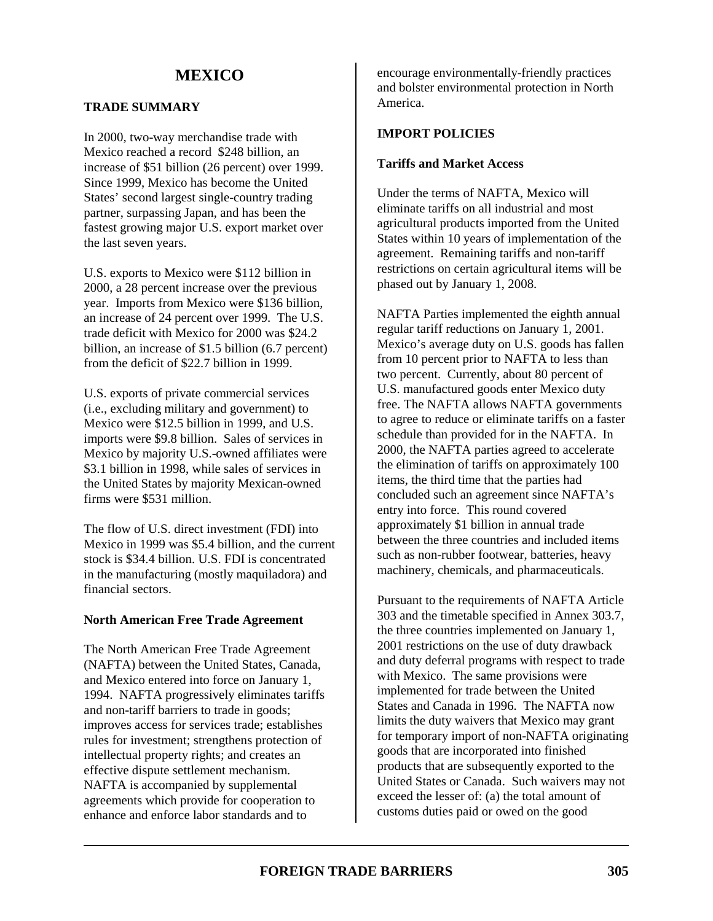### **TRADE SUMMARY**

In 2000, two-way merchandise trade with Mexico reached a record \$248 billion, an increase of \$51 billion (26 percent) over 1999. Since 1999, Mexico has become the United States' second largest single-country trading partner, surpassing Japan, and has been the fastest growing major U.S. export market over the last seven years.

U.S. exports to Mexico were \$112 billion in 2000, a 28 percent increase over the previous year. Imports from Mexico were \$136 billion, an increase of 24 percent over 1999. The U.S. trade deficit with Mexico for 2000 was \$24.2 billion, an increase of \$1.5 billion (6.7 percent) from the deficit of \$22.7 billion in 1999.

U.S. exports of private commercial services (i.e., excluding military and government) to Mexico were \$12.5 billion in 1999, and U.S. imports were \$9.8 billion. Sales of services in Mexico by majority U.S.-owned affiliates were \$3.1 billion in 1998, while sales of services in the United States by majority Mexican-owned firms were \$531 million.

The flow of U.S. direct investment (FDI) into Mexico in 1999 was \$5.4 billion, and the current stock is \$34.4 billion. U.S. FDI is concentrated in the manufacturing (mostly maquiladora) and financial sectors.

### **North American Free Trade Agreement**

The North American Free Trade Agreement (NAFTA) between the United States, Canada, and Mexico entered into force on January 1, 1994. NAFTA progressively eliminates tariffs and non-tariff barriers to trade in goods; improves access for services trade; establishes rules for investment; strengthens protection of intellectual property rights; and creates an effective dispute settlement mechanism. NAFTA is accompanied by supplemental agreements which provide for cooperation to enhance and enforce labor standards and to

encourage environmentally-friendly practices and bolster environmental protection in North America.

### **IMPORT POLICIES**

#### **Tariffs and Market Access**

Under the terms of NAFTA, Mexico will eliminate tariffs on all industrial and most agricultural products imported from the United States within 10 years of implementation of the agreement. Remaining tariffs and non-tariff restrictions on certain agricultural items will be phased out by January 1, 2008.

NAFTA Parties implemented the eighth annual regular tariff reductions on January 1, 2001. Mexico's average duty on U.S. goods has fallen from 10 percent prior to NAFTA to less than two percent. Currently, about 80 percent of U.S. manufactured goods enter Mexico duty free. The NAFTA allows NAFTA governments to agree to reduce or eliminate tariffs on a faster schedule than provided for in the NAFTA. In 2000, the NAFTA parties agreed to accelerate the elimination of tariffs on approximately 100 items, the third time that the parties had concluded such an agreement since NAFTA's entry into force. This round covered approximately \$1 billion in annual trade between the three countries and included items such as non-rubber footwear, batteries, heavy machinery, chemicals, and pharmaceuticals.

Pursuant to the requirements of NAFTA Article 303 and the timetable specified in Annex 303.7, the three countries implemented on January 1, 2001 restrictions on the use of duty drawback and duty deferral programs with respect to trade with Mexico. The same provisions were implemented for trade between the United States and Canada in 1996. The NAFTA now limits the duty waivers that Mexico may grant for temporary import of non-NAFTA originating goods that are incorporated into finished products that are subsequently exported to the United States or Canada. Such waivers may not exceed the lesser of: (a) the total amount of customs duties paid or owed on the good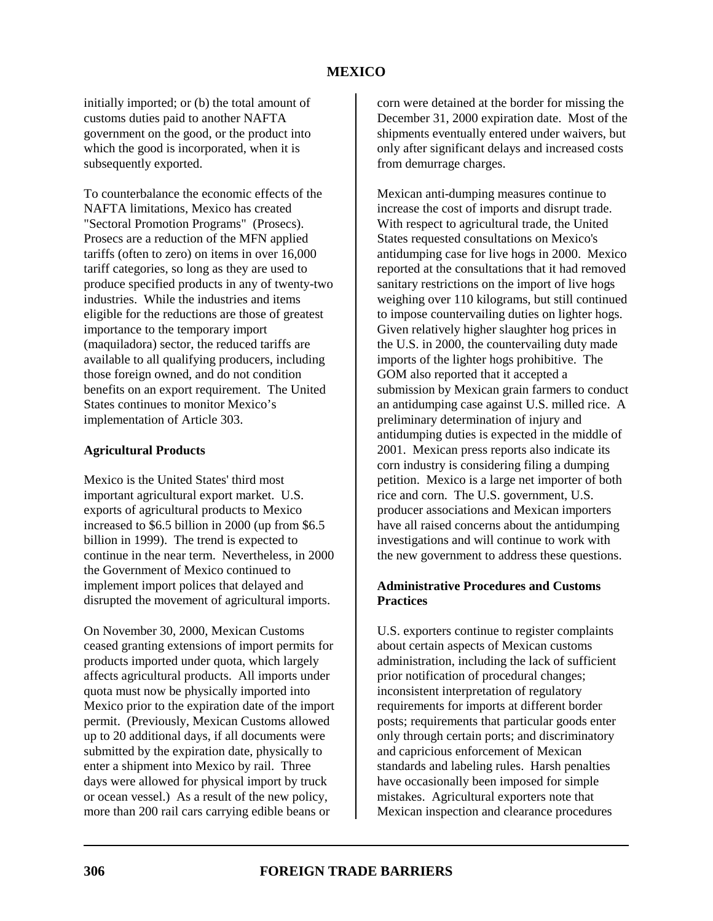initially imported; or (b) the total amount of customs duties paid to another NAFTA government on the good, or the product into which the good is incorporated, when it is subsequently exported.

To counterbalance the economic effects of the NAFTA limitations, Mexico has created "Sectoral Promotion Programs" (Prosecs). Prosecs are a reduction of the MFN applied tariffs (often to zero) on items in over 16,000 tariff categories, so long as they are used to produce specified products in any of twenty-two industries. While the industries and items eligible for the reductions are those of greatest importance to the temporary import (maquiladora) sector, the reduced tariffs are available to all qualifying producers, including those foreign owned, and do not condition benefits on an export requirement. The United States continues to monitor Mexico's implementation of Article 303.

### **Agricultural Products**

Mexico is the United States' third most important agricultural export market. U.S. exports of agricultural products to Mexico increased to \$6.5 billion in 2000 (up from \$6.5 billion in 1999). The trend is expected to continue in the near term. Nevertheless, in 2000 the Government of Mexico continued to implement import polices that delayed and disrupted the movement of agricultural imports.

On November 30, 2000, Mexican Customs ceased granting extensions of import permits for products imported under quota, which largely affects agricultural products. All imports under quota must now be physically imported into Mexico prior to the expiration date of the import permit. (Previously, Mexican Customs allowed up to 20 additional days, if all documents were submitted by the expiration date, physically to enter a shipment into Mexico by rail. Three days were allowed for physical import by truck or ocean vessel.) As a result of the new policy, more than 200 rail cars carrying edible beans or

corn were detained at the border for missing the December 31, 2000 expiration date. Most of the shipments eventually entered under waivers, but only after significant delays and increased costs from demurrage charges.

Mexican anti-dumping measures continue to increase the cost of imports and disrupt trade. With respect to agricultural trade, the United States requested consultations on Mexico's antidumping case for live hogs in 2000. Mexico reported at the consultations that it had removed sanitary restrictions on the import of live hogs weighing over 110 kilograms, but still continued to impose countervailing duties on lighter hogs. Given relatively higher slaughter hog prices in the U.S. in 2000, the countervailing duty made imports of the lighter hogs prohibitive. The GOM also reported that it accepted a submission by Mexican grain farmers to conduct an antidumping case against U.S. milled rice. A preliminary determination of injury and antidumping duties is expected in the middle of 2001. Mexican press reports also indicate its corn industry is considering filing a dumping petition. Mexico is a large net importer of both rice and corn. The U.S. government, U.S. producer associations and Mexican importers have all raised concerns about the antidumping investigations and will continue to work with the new government to address these questions.

### **Administrative Procedures and Customs Practices**

U.S. exporters continue to register complaints about certain aspects of Mexican customs administration, including the lack of sufficient prior notification of procedural changes; inconsistent interpretation of regulatory requirements for imports at different border posts; requirements that particular goods enter only through certain ports; and discriminatory and capricious enforcement of Mexican standards and labeling rules. Harsh penalties have occasionally been imposed for simple mistakes. Agricultural exporters note that Mexican inspection and clearance procedures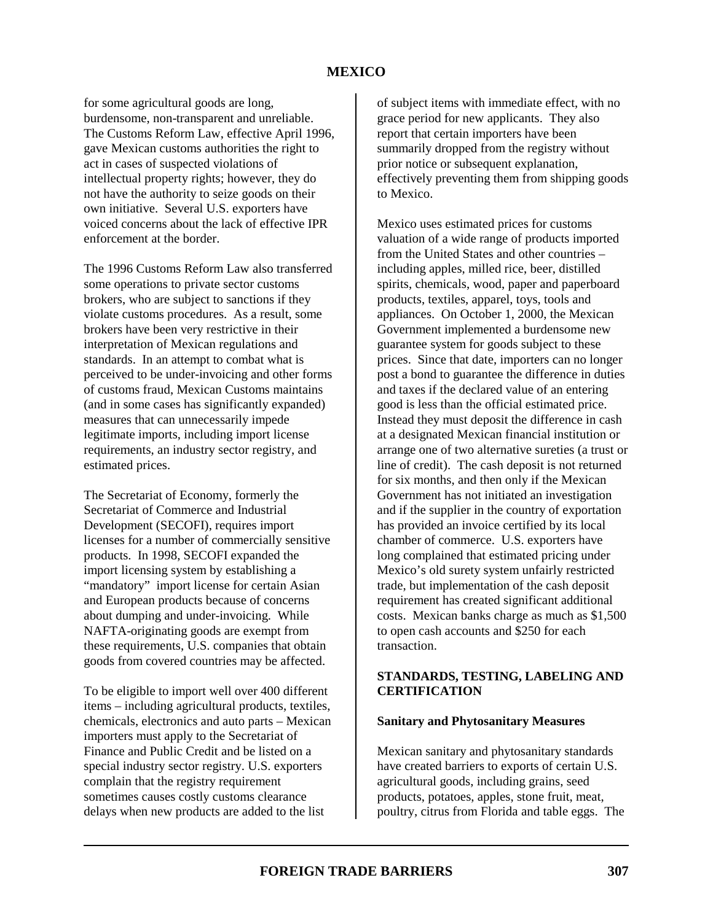for some agricultural goods are long, burdensome, non-transparent and unreliable. The Customs Reform Law, effective April 1996, gave Mexican customs authorities the right to act in cases of suspected violations of intellectual property rights; however, they do not have the authority to seize goods on their own initiative. Several U.S. exporters have voiced concerns about the lack of effective IPR enforcement at the border.

The 1996 Customs Reform Law also transferred some operations to private sector customs brokers, who are subject to sanctions if they violate customs procedures. As a result, some brokers have been very restrictive in their interpretation of Mexican regulations and standards. In an attempt to combat what is perceived to be under-invoicing and other forms of customs fraud, Mexican Customs maintains (and in some cases has significantly expanded) measures that can unnecessarily impede legitimate imports, including import license requirements, an industry sector registry, and estimated prices.

The Secretariat of Economy, formerly the Secretariat of Commerce and Industrial Development (SECOFI), requires import licenses for a number of commercially sensitive products. In 1998, SECOFI expanded the import licensing system by establishing a "mandatory" import license for certain Asian and European products because of concerns about dumping and under-invoicing. While NAFTA-originating goods are exempt from these requirements, U.S. companies that obtain goods from covered countries may be affected.

To be eligible to import well over 400 different items – including agricultural products, textiles, chemicals, electronics and auto parts – Mexican importers must apply to the Secretariat of Finance and Public Credit and be listed on a special industry sector registry. U.S. exporters complain that the registry requirement sometimes causes costly customs clearance delays when new products are added to the list

of subject items with immediate effect, with no grace period for new applicants. They also report that certain importers have been summarily dropped from the registry without prior notice or subsequent explanation, effectively preventing them from shipping goods to Mexico.

Mexico uses estimated prices for customs valuation of a wide range of products imported from the United States and other countries – including apples, milled rice, beer, distilled spirits, chemicals, wood, paper and paperboard products, textiles, apparel, toys, tools and appliances. On October 1, 2000, the Mexican Government implemented a burdensome new guarantee system for goods subject to these prices. Since that date, importers can no longer post a bond to guarantee the difference in duties and taxes if the declared value of an entering good is less than the official estimated price. Instead they must deposit the difference in cash at a designated Mexican financial institution or arrange one of two alternative sureties (a trust or line of credit). The cash deposit is not returned for six months, and then only if the Mexican Government has not initiated an investigation and if the supplier in the country of exportation has provided an invoice certified by its local chamber of commerce. U.S. exporters have long complained that estimated pricing under Mexico's old surety system unfairly restricted trade, but implementation of the cash deposit requirement has created significant additional costs. Mexican banks charge as much as \$1,500 to open cash accounts and \$250 for each transaction.

### **STANDARDS, TESTING, LABELING AND CERTIFICATION**

#### **Sanitary and Phytosanitary Measures**

Mexican sanitary and phytosanitary standards have created barriers to exports of certain U.S. agricultural goods, including grains, seed products, potatoes, apples, stone fruit, meat, poultry, citrus from Florida and table eggs. The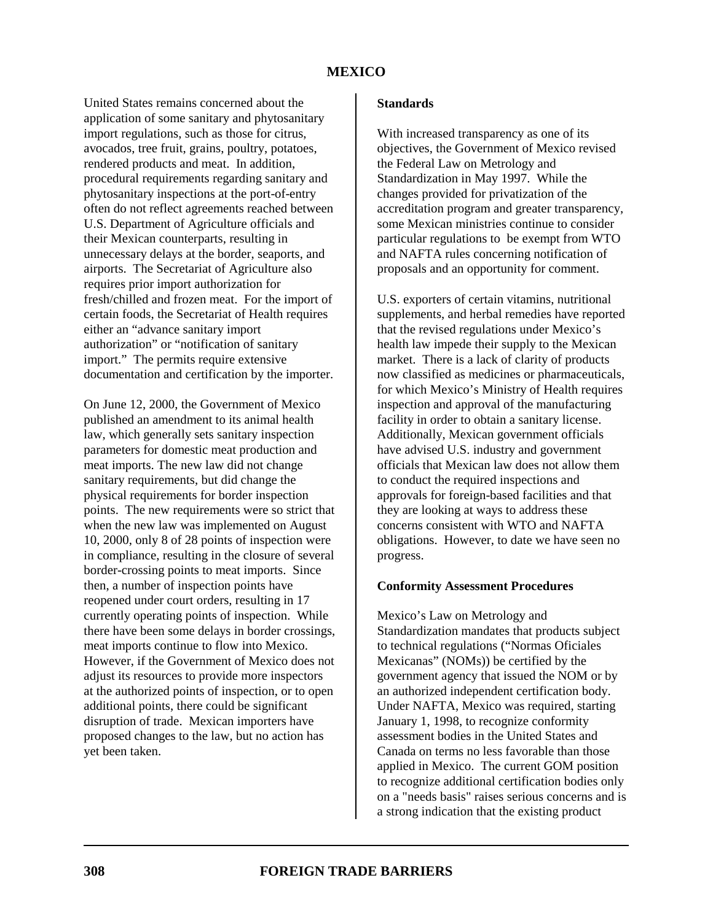United States remains concerned about the application of some sanitary and phytosanitary import regulations, such as those for citrus, avocados, tree fruit, grains, poultry, potatoes, rendered products and meat. In addition, procedural requirements regarding sanitary and phytosanitary inspections at the port-of-entry often do not reflect agreements reached between U.S. Department of Agriculture officials and their Mexican counterparts, resulting in unnecessary delays at the border, seaports, and airports. The Secretariat of Agriculture also requires prior import authorization for fresh/chilled and frozen meat. For the import of certain foods, the Secretariat of Health requires either an "advance sanitary import authorization" or "notification of sanitary import." The permits require extensive documentation and certification by the importer.

On June 12, 2000, the Government of Mexico published an amendment to its animal health law, which generally sets sanitary inspection parameters for domestic meat production and meat imports. The new law did not change sanitary requirements, but did change the physical requirements for border inspection points. The new requirements were so strict that when the new law was implemented on August 10, 2000, only 8 of 28 points of inspection were in compliance, resulting in the closure of several border-crossing points to meat imports. Since then, a number of inspection points have reopened under court orders, resulting in 17 currently operating points of inspection. While there have been some delays in border crossings, meat imports continue to flow into Mexico. However, if the Government of Mexico does not adjust its resources to provide more inspectors at the authorized points of inspection, or to open additional points, there could be significant disruption of trade. Mexican importers have proposed changes to the law, but no action has yet been taken.

With increased transparency as one of its objectives, the Government of Mexico revised the Federal Law on Metrology and Standardization in May 1997. While the changes provided for privatization of the accreditation program and greater transparency, some Mexican ministries continue to consider particular regulations to be exempt from WTO and NAFTA rules concerning notification of proposals and an opportunity for comment.

U.S. exporters of certain vitamins, nutritional supplements, and herbal remedies have reported that the revised regulations under Mexico's health law impede their supply to the Mexican market. There is a lack of clarity of products now classified as medicines or pharmaceuticals, for which Mexico's Ministry of Health requires inspection and approval of the manufacturing facility in order to obtain a sanitary license. Additionally, Mexican government officials have advised U.S. industry and government officials that Mexican law does not allow them to conduct the required inspections and approvals for foreign-based facilities and that they are looking at ways to address these concerns consistent with WTO and NAFTA obligations. However, to date we have seen no progress.

### **Conformity Assessment Procedures**

Mexico's Law on Metrology and Standardization mandates that products subject to technical regulations ("Normas Oficiales Mexicanas" (NOMs)) be certified by the government agency that issued the NOM or by an authorized independent certification body. Under NAFTA, Mexico was required, starting January 1, 1998, to recognize conformity assessment bodies in the United States and Canada on terms no less favorable than those applied in Mexico. The current GOM position to recognize additional certification bodies only on a "needs basis" raises serious concerns and is a strong indication that the existing product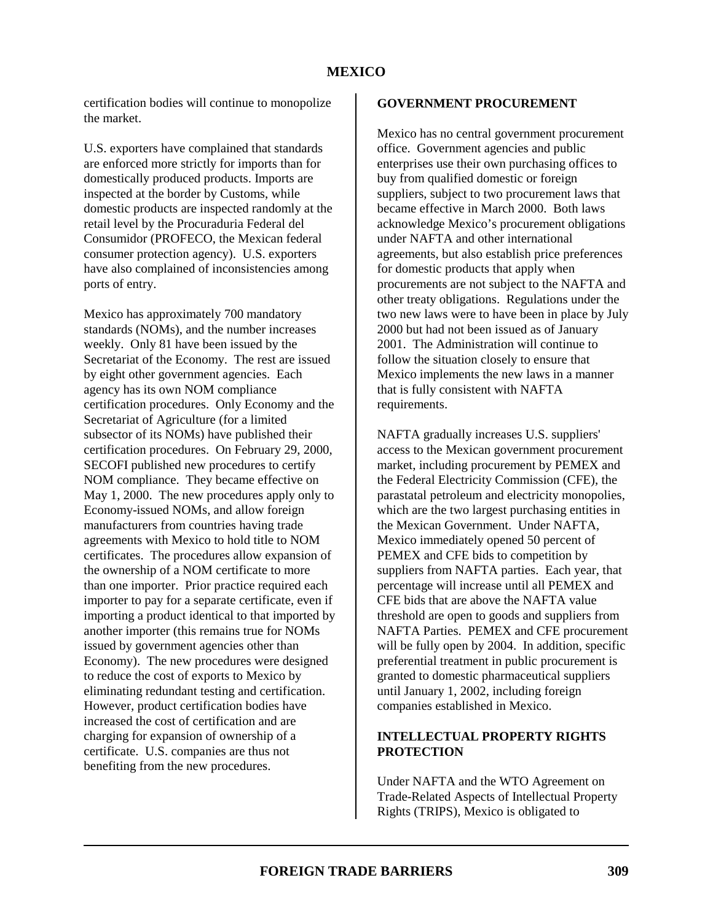certification bodies will continue to monopolize the market.

U.S. exporters have complained that standards are enforced more strictly for imports than for domestically produced products. Imports are inspected at the border by Customs, while domestic products are inspected randomly at the retail level by the Procuraduria Federal del Consumidor (PROFECO, the Mexican federal consumer protection agency). U.S. exporters have also complained of inconsistencies among ports of entry.

Mexico has approximately 700 mandatory standards (NOMs), and the number increases weekly. Only 81 have been issued by the Secretariat of the Economy. The rest are issued by eight other government agencies. Each agency has its own NOM compliance certification procedures. Only Economy and the Secretariat of Agriculture (for a limited subsector of its NOMs) have published their certification procedures. On February 29, 2000, SECOFI published new procedures to certify NOM compliance. They became effective on May 1, 2000. The new procedures apply only to Economy-issued NOMs, and allow foreign manufacturers from countries having trade agreements with Mexico to hold title to NOM certificates. The procedures allow expansion of the ownership of a NOM certificate to more than one importer. Prior practice required each importer to pay for a separate certificate, even if importing a product identical to that imported by another importer (this remains true for NOMs issued by government agencies other than Economy). The new procedures were designed to reduce the cost of exports to Mexico by eliminating redundant testing and certification. However, product certification bodies have increased the cost of certification and are charging for expansion of ownership of a certificate. U.S. companies are thus not benefiting from the new procedures.

### **GOVERNMENT PROCUREMENT**

Mexico has no central government procurement office. Government agencies and public enterprises use their own purchasing offices to buy from qualified domestic or foreign suppliers, subject to two procurement laws that became effective in March 2000. Both laws acknowledge Mexico's procurement obligations under NAFTA and other international agreements, but also establish price preferences for domestic products that apply when procurements are not subject to the NAFTA and other treaty obligations. Regulations under the two new laws were to have been in place by July 2000 but had not been issued as of January 2001. The Administration will continue to follow the situation closely to ensure that Mexico implements the new laws in a manner that is fully consistent with NAFTA requirements.

NAFTA gradually increases U.S. suppliers' access to the Mexican government procurement market, including procurement by PEMEX and the Federal Electricity Commission (CFE), the parastatal petroleum and electricity monopolies, which are the two largest purchasing entities in the Mexican Government. Under NAFTA, Mexico immediately opened 50 percent of PEMEX and CFE bids to competition by suppliers from NAFTA parties. Each year, that percentage will increase until all PEMEX and CFE bids that are above the NAFTA value threshold are open to goods and suppliers from NAFTA Parties. PEMEX and CFE procurement will be fully open by 2004. In addition, specific preferential treatment in public procurement is granted to domestic pharmaceutical suppliers until January 1, 2002, including foreign companies established in Mexico.

### **INTELLECTUAL PROPERTY RIGHTS PROTECTION**

Under NAFTA and the WTO Agreement on Trade-Related Aspects of Intellectual Property Rights (TRIPS), Mexico is obligated to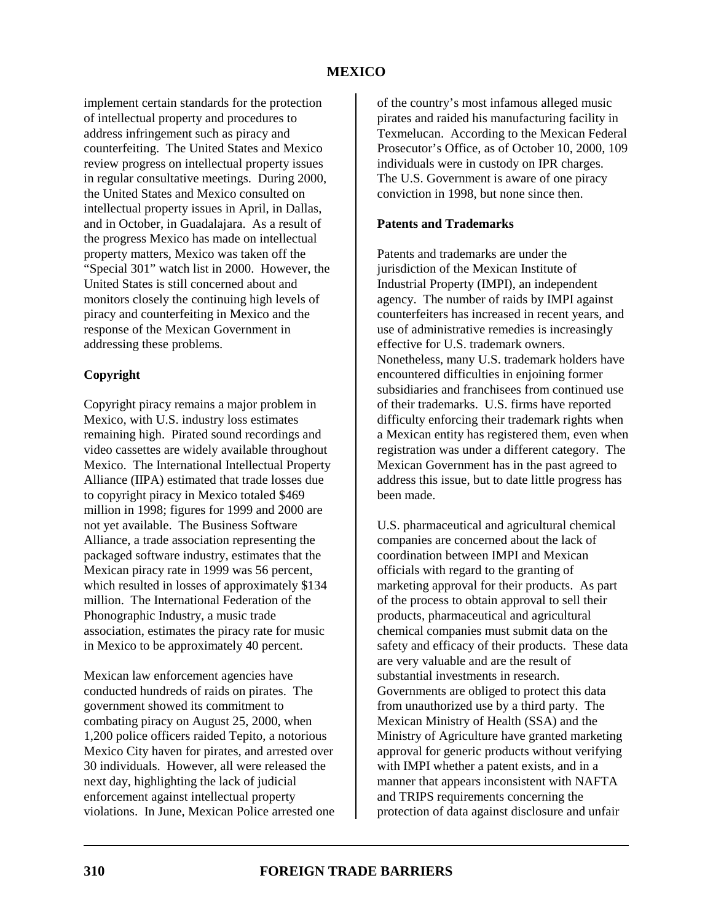implement certain standards for the protection of intellectual property and procedures to address infringement such as piracy and counterfeiting. The United States and Mexico review progress on intellectual property issues in regular consultative meetings. During 2000, the United States and Mexico consulted on intellectual property issues in April, in Dallas, and in October, in Guadalajara. As a result of the progress Mexico has made on intellectual property matters, Mexico was taken off the "Special 301" watch list in 2000. However, the United States is still concerned about and monitors closely the continuing high levels of piracy and counterfeiting in Mexico and the response of the Mexican Government in addressing these problems.

# **Copyright**

Copyright piracy remains a major problem in Mexico, with U.S. industry loss estimates remaining high. Pirated sound recordings and video cassettes are widely available throughout Mexico. The International Intellectual Property Alliance (IIPA) estimated that trade losses due to copyright piracy in Mexico totaled \$469 million in 1998; figures for 1999 and 2000 are not yet available. The Business Software Alliance, a trade association representing the packaged software industry, estimates that the Mexican piracy rate in 1999 was 56 percent, which resulted in losses of approximately \$134 million. The International Federation of the Phonographic Industry, a music trade association, estimates the piracy rate for music in Mexico to be approximately 40 percent.

Mexican law enforcement agencies have conducted hundreds of raids on pirates. The government showed its commitment to combating piracy on August 25, 2000, when 1,200 police officers raided Tepito, a notorious Mexico City haven for pirates, and arrested over 30 individuals. However, all were released the next day, highlighting the lack of judicial enforcement against intellectual property violations. In June, Mexican Police arrested one of the country's most infamous alleged music pirates and raided his manufacturing facility in Texmelucan. According to the Mexican Federal Prosecutor's Office, as of October 10, 2000, 109 individuals were in custody on IPR charges. The U.S. Government is aware of one piracy conviction in 1998, but none since then.

# **Patents and Trademarks**

Patents and trademarks are under the jurisdiction of the Mexican Institute of Industrial Property (IMPI), an independent agency. The number of raids by IMPI against counterfeiters has increased in recent years, and use of administrative remedies is increasingly effective for U.S. trademark owners. Nonetheless, many U.S. trademark holders have encountered difficulties in enjoining former subsidiaries and franchisees from continued use of their trademarks. U.S. firms have reported difficulty enforcing their trademark rights when a Mexican entity has registered them, even when registration was under a different category. The Mexican Government has in the past agreed to address this issue, but to date little progress has been made.

U.S. pharmaceutical and agricultural chemical companies are concerned about the lack of coordination between IMPI and Mexican officials with regard to the granting of marketing approval for their products. As part of the process to obtain approval to sell their products, pharmaceutical and agricultural chemical companies must submit data on the safety and efficacy of their products. These data are very valuable and are the result of substantial investments in research. Governments are obliged to protect this data from unauthorized use by a third party. The Mexican Ministry of Health (SSA) and the Ministry of Agriculture have granted marketing approval for generic products without verifying with IMPI whether a patent exists, and in a manner that appears inconsistent with NAFTA and TRIPS requirements concerning the protection of data against disclosure and unfair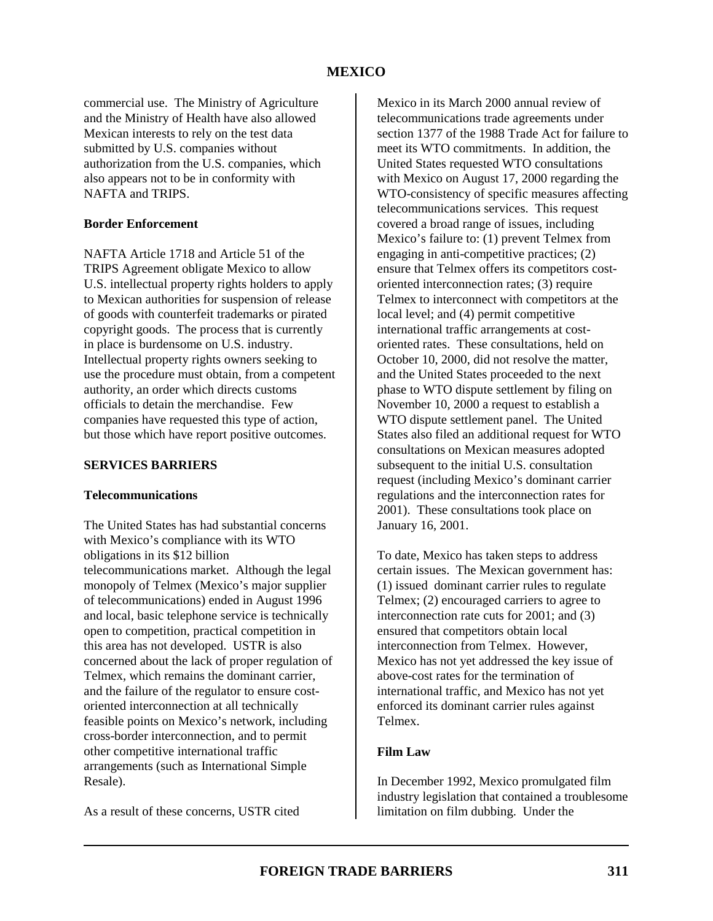commercial use. The Ministry of Agriculture and the Ministry of Health have also allowed Mexican interests to rely on the test data submitted by U.S. companies without authorization from the U.S. companies, which also appears not to be in conformity with NAFTA and TRIPS.

### **Border Enforcement**

NAFTA Article 1718 and Article 51 of the TRIPS Agreement obligate Mexico to allow U.S. intellectual property rights holders to apply to Mexican authorities for suspension of release of goods with counterfeit trademarks or pirated copyright goods. The process that is currently in place is burdensome on U.S. industry. Intellectual property rights owners seeking to use the procedure must obtain, from a competent authority, an order which directs customs officials to detain the merchandise. Few companies have requested this type of action, but those which have report positive outcomes.

### **SERVICES BARRIERS**

### **Telecommunications**

The United States has had substantial concerns with Mexico's compliance with its WTO obligations in its \$12 billion telecommunications market. Although the legal monopoly of Telmex (Mexico's major supplier of telecommunications) ended in August 1996 and local, basic telephone service is technically open to competition, practical competition in this area has not developed. USTR is also concerned about the lack of proper regulation of Telmex, which remains the dominant carrier, and the failure of the regulator to ensure costoriented interconnection at all technically feasible points on Mexico's network, including cross-border interconnection, and to permit other competitive international traffic arrangements (such as International Simple Resale).

As a result of these concerns, USTR cited

Mexico in its March 2000 annual review of telecommunications trade agreements under section 1377 of the 1988 Trade Act for failure to meet its WTO commitments. In addition, the United States requested WTO consultations with Mexico on August 17, 2000 regarding the WTO-consistency of specific measures affecting telecommunications services. This request covered a broad range of issues, including Mexico's failure to: (1) prevent Telmex from engaging in anti-competitive practices; (2) ensure that Telmex offers its competitors costoriented interconnection rates; (3) require Telmex to interconnect with competitors at the local level; and (4) permit competitive international traffic arrangements at costoriented rates. These consultations, held on October 10, 2000, did not resolve the matter, and the United States proceeded to the next phase to WTO dispute settlement by filing on November 10, 2000 a request to establish a WTO dispute settlement panel. The United States also filed an additional request for WTO consultations on Mexican measures adopted subsequent to the initial U.S. consultation request (including Mexico's dominant carrier regulations and the interconnection rates for 2001). These consultations took place on January 16, 2001.

To date, Mexico has taken steps to address certain issues. The Mexican government has: (1) issued dominant carrier rules to regulate Telmex; (2) encouraged carriers to agree to interconnection rate cuts for 2001; and (3) ensured that competitors obtain local interconnection from Telmex. However, Mexico has not yet addressed the key issue of above-cost rates for the termination of international traffic, and Mexico has not yet enforced its dominant carrier rules against Telmex.

### **Film Law**

In December 1992, Mexico promulgated film industry legislation that contained a troublesome limitation on film dubbing. Under the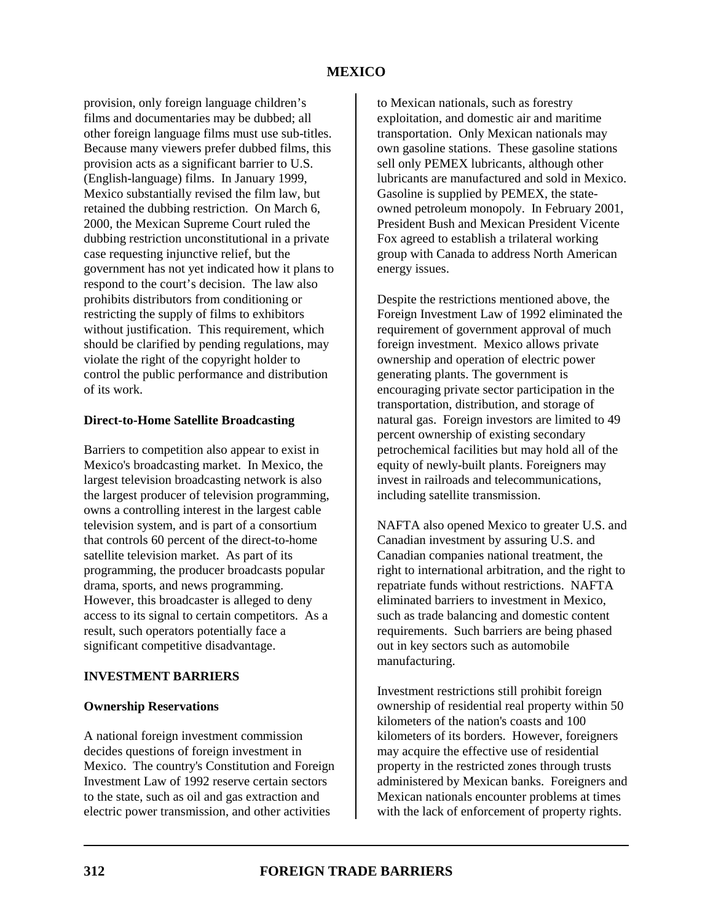provision, only foreign language children's films and documentaries may be dubbed; all other foreign language films must use sub-titles. Because many viewers prefer dubbed films, this provision acts as a significant barrier to U.S. (English-language) films. In January 1999, Mexico substantially revised the film law, but retained the dubbing restriction. On March 6, 2000, the Mexican Supreme Court ruled the dubbing restriction unconstitutional in a private case requesting injunctive relief, but the government has not yet indicated how it plans to respond to the court's decision. The law also prohibits distributors from conditioning or restricting the supply of films to exhibitors without justification. This requirement, which should be clarified by pending regulations, may violate the right of the copyright holder to control the public performance and distribution of its work.

### **Direct-to-Home Satellite Broadcasting**

Barriers to competition also appear to exist in Mexico's broadcasting market. In Mexico, the largest television broadcasting network is also the largest producer of television programming, owns a controlling interest in the largest cable television system, and is part of a consortium that controls 60 percent of the direct-to-home satellite television market. As part of its programming, the producer broadcasts popular drama, sports, and news programming. However, this broadcaster is alleged to deny access to its signal to certain competitors. As a result, such operators potentially face a significant competitive disadvantage.

### **INVESTMENT BARRIERS**

### **Ownership Reservations**

A national foreign investment commission decides questions of foreign investment in Mexico. The country's Constitution and Foreign Investment Law of 1992 reserve certain sectors to the state, such as oil and gas extraction and electric power transmission, and other activities

to Mexican nationals, such as forestry exploitation, and domestic air and maritime transportation. Only Mexican nationals may own gasoline stations. These gasoline stations sell only PEMEX lubricants, although other lubricants are manufactured and sold in Mexico. Gasoline is supplied by PEMEX, the stateowned petroleum monopoly. In February 2001, President Bush and Mexican President Vicente Fox agreed to establish a trilateral working group with Canada to address North American energy issues.

Despite the restrictions mentioned above, the Foreign Investment Law of 1992 eliminated the requirement of government approval of much foreign investment. Mexico allows private ownership and operation of electric power generating plants. The government is encouraging private sector participation in the transportation, distribution, and storage of natural gas. Foreign investors are limited to 49 percent ownership of existing secondary petrochemical facilities but may hold all of the equity of newly-built plants. Foreigners may invest in railroads and telecommunications, including satellite transmission.

NAFTA also opened Mexico to greater U.S. and Canadian investment by assuring U.S. and Canadian companies national treatment, the right to international arbitration, and the right to repatriate funds without restrictions. NAFTA eliminated barriers to investment in Mexico, such as trade balancing and domestic content requirements. Such barriers are being phased out in key sectors such as automobile manufacturing.

Investment restrictions still prohibit foreign ownership of residential real property within 50 kilometers of the nation's coasts and 100 kilometers of its borders. However, foreigners may acquire the effective use of residential property in the restricted zones through trusts administered by Mexican banks. Foreigners and Mexican nationals encounter problems at times with the lack of enforcement of property rights.